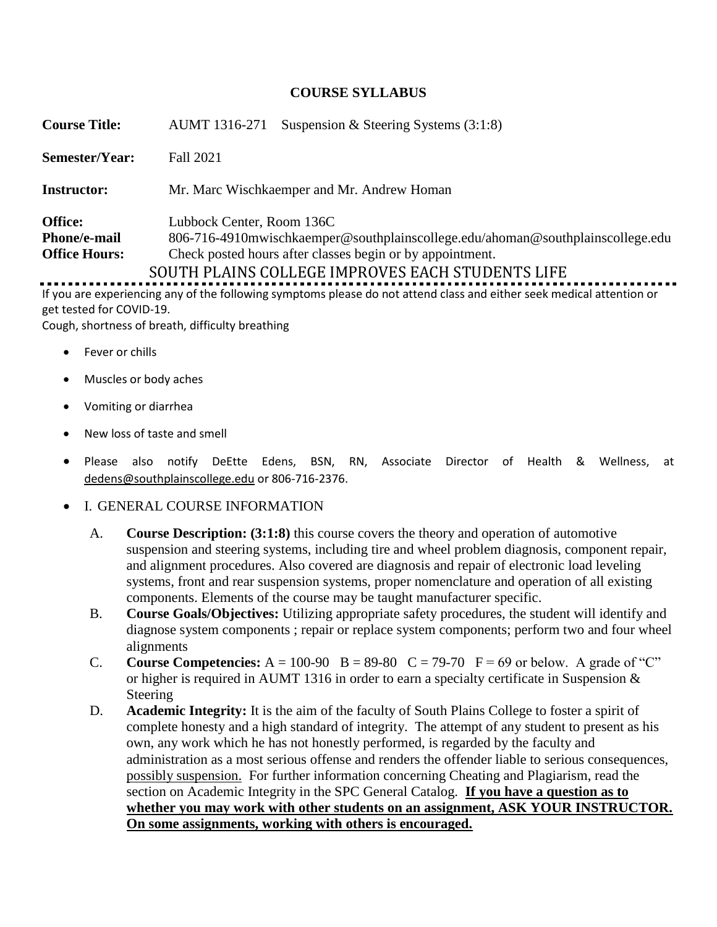## **COURSE SYLLABUS**

| <b>Course Title:</b>                                          | Suspension & Steering Systems $(3:1:8)$<br><b>AUMT</b> 1316-271                                                                                                                                                                 |
|---------------------------------------------------------------|---------------------------------------------------------------------------------------------------------------------------------------------------------------------------------------------------------------------------------|
| Semester/Year:                                                | Fall 2021                                                                                                                                                                                                                       |
| <b>Instructor:</b>                                            | Mr. Marc Wischkaemper and Mr. Andrew Homan                                                                                                                                                                                      |
| <b>Office:</b><br><b>Phone/e-mail</b><br><b>Office Hours:</b> | Lubbock Center, Room 136C<br>806-716-4910 mwischkaemper @southplainscollege.edu/ahoman @southplainscollege.edu<br>Check posted hours after classes begin or by appointment.<br>SOUTH PLAINS COLLEGE IMPROVES EACH STUDENTS LIFE |
|                                                               | tf you are available abused the fellowing a motema algebra de not ottend deep and althoused modified attention                                                                                                                  |

If you are experiencing any of the following symptoms please do not attend class and either seek medical attention or get tested for COVID-19.

Cough, shortness of breath, difficulty breathing

- Fever or chills
- Muscles or body aches
- Vomiting or diarrhea
- New loss of taste and smell
- Please also notify DeEtte Edens, BSN, RN, Associate Director of Health & Wellness, at [dedens@southplainscollege.edu](mailto:dedens@southplainscollege.edu) or 806-716-2376.
- I. GENERAL COURSE INFORMATION
	- A. **Course Description: (3:1:8)** this course covers the theory and operation of automotive suspension and steering systems, including tire and wheel problem diagnosis, component repair, and alignment procedures. Also covered are diagnosis and repair of electronic load leveling systems, front and rear suspension systems, proper nomenclature and operation of all existing components. Elements of the course may be taught manufacturer specific.
	- B. **Course Goals/Objectives:** Utilizing appropriate safety procedures, the student will identify and diagnose system components ; repair or replace system components; perform two and four wheel alignments
	- C. **Course Competencies:**  $A = 100-90$   $B = 89-80$   $C = 79-70$   $F = 69$  or below. A grade of "C" or higher is required in AUMT 1316 in order to earn a specialty certificate in Suspension & Steering
	- D. **Academic Integrity:** It is the aim of the faculty of South Plains College to foster a spirit of complete honesty and a high standard of integrity. The attempt of any student to present as his own, any work which he has not honestly performed, is regarded by the faculty and administration as a most serious offense and renders the offender liable to serious consequences, possibly suspension. For further information concerning Cheating and Plagiarism, read the section on Academic Integrity in the SPC General Catalog. **If you have a question as to whether you may work with other students on an assignment, ASK YOUR INSTRUCTOR. On some assignments, working with others is encouraged.**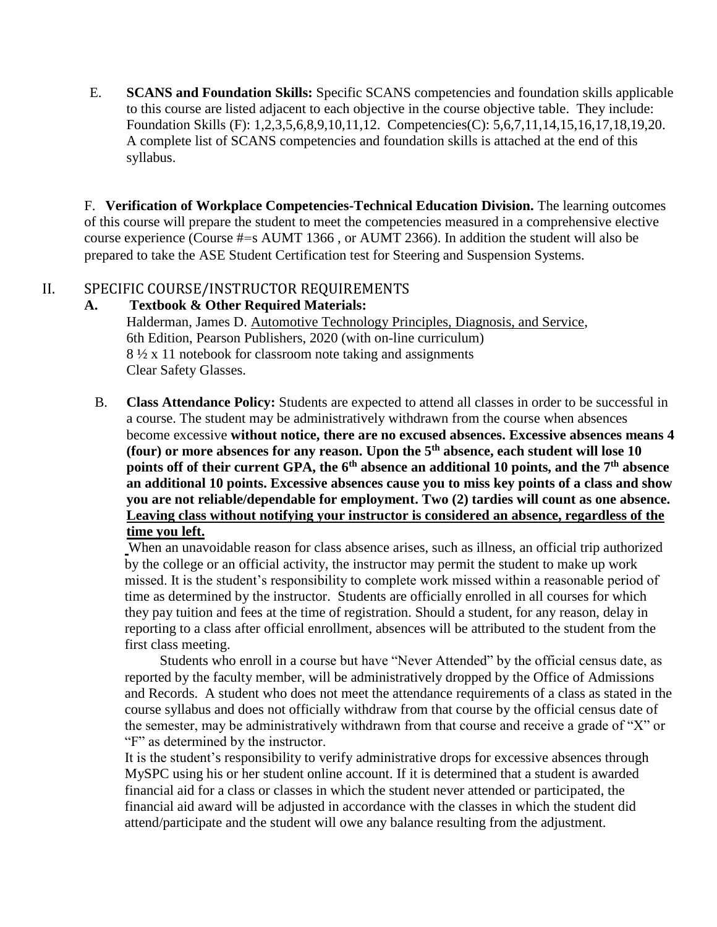E. **SCANS and Foundation Skills:** Specific SCANS competencies and foundation skills applicable to this course are listed adjacent to each objective in the course objective table. They include: Foundation Skills (F): 1,2,3,5,6,8,9,10,11,12. Competencies(C): 5,6,7,11,14,15,16,17,18,19,20. A complete list of SCANS competencies and foundation skills is attached at the end of this syllabus.

F. **Verification of Workplace Competencies-Technical Education Division.** The learning outcomes of this course will prepare the student to meet the competencies measured in a comprehensive elective course experience (Course #=s AUMT 1366 , or AUMT 2366). In addition the student will also be prepared to take the ASE Student Certification test for Steering and Suspension Systems.

# II. SPECIFIC COURSE/INSTRUCTOR REQUIREMENTS

### **A. Textbook & Other Required Materials:**

Halderman, James D. Automotive Technology Principles, Diagnosis, and Service, 6th Edition, Pearson Publishers, 2020 (with on-line curriculum) 8 ½ x 11 notebook for classroom note taking and assignments Clear Safety Glasses.

B. **Class Attendance Policy:** Students are expected to attend all classes in order to be successful in a course. The student may be administratively withdrawn from the course when absences become excessive **without notice, there are no excused absences. Excessive absences means 4 (four) or more absences for any reason. Upon the 5th absence, each student will lose 10 points off of their current GPA, the 6th absence an additional 10 points, and the 7th absence an additional 10 points. Excessive absences cause you to miss key points of a class and show you are not reliable/dependable for employment. Two (2) tardies will count as one absence. Leaving class without notifying your instructor is considered an absence, regardless of the time you left.**

When an unavoidable reason for class absence arises, such as illness, an official trip authorized by the college or an official activity, the instructor may permit the student to make up work missed. It is the student's responsibility to complete work missed within a reasonable period of time as determined by the instructor. Students are officially enrolled in all courses for which they pay tuition and fees at the time of registration. Should a student, for any reason, delay in reporting to a class after official enrollment, absences will be attributed to the student from the first class meeting.

 Students who enroll in a course but have "Never Attended" by the official census date, as reported by the faculty member, will be administratively dropped by the Office of Admissions and Records. A student who does not meet the attendance requirements of a class as stated in the course syllabus and does not officially withdraw from that course by the official census date of the semester, may be administratively withdrawn from that course and receive a grade of "X" or "F" as determined by the instructor.

It is the student's responsibility to verify administrative drops for excessive absences through MySPC using his or her student online account. If it is determined that a student is awarded financial aid for a class or classes in which the student never attended or participated, the financial aid award will be adjusted in accordance with the classes in which the student did attend/participate and the student will owe any balance resulting from the adjustment.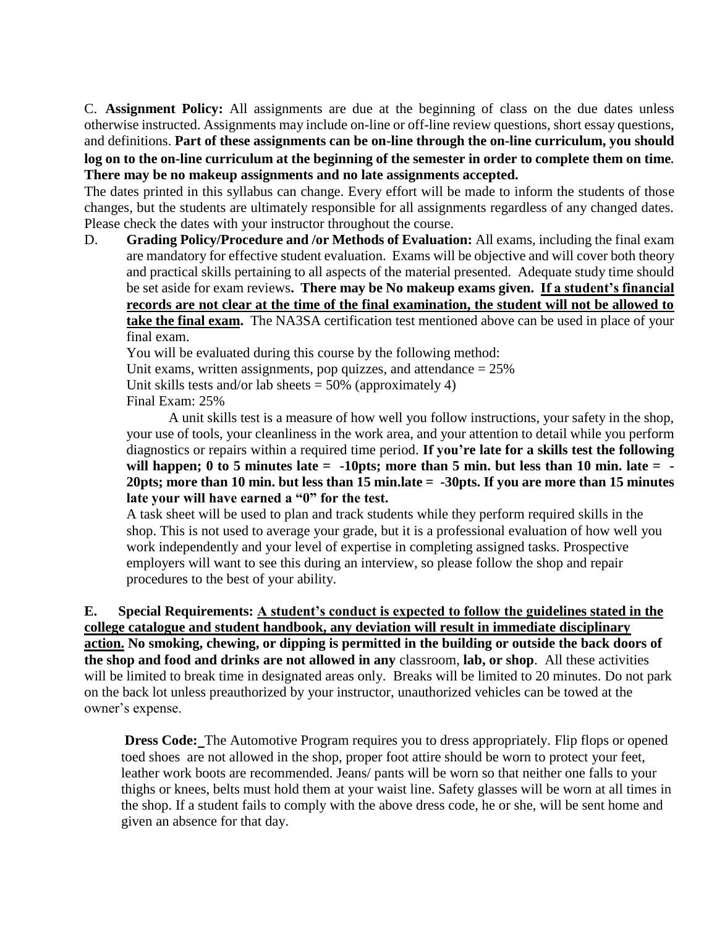C. **Assignment Policy:** All assignments are due at the beginning of class on the due dates unless otherwise instructed. Assignments may include on-line or off-line review questions, short essay questions, and definitions. **Part of these assignments can be on-line through the on-line curriculum, you should log on to the on-line curriculum at the beginning of the semester in order to complete them on time**. **There may be no makeup assignments and no late assignments accepted.**

The dates printed in this syllabus can change. Every effort will be made to inform the students of those changes, but the students are ultimately responsible for all assignments regardless of any changed dates. Please check the dates with your instructor throughout the course.

D. **Grading Policy/Procedure and /or Methods of Evaluation:** All exams, including the final exam are mandatory for effective student evaluation. Exams will be objective and will cover both theory and practical skills pertaining to all aspects of the material presented. Adequate study time should be set aside for exam reviews**. There may be No makeup exams given. If a student's financial records are not clear at the time of the final examination, the student will not be allowed to take the final exam.** The NA3SA certification test mentioned above can be used in place of your final exam.

 You will be evaluated during this course by the following method: Unit exams, written assignments, pop quizzes, and attendance  $= 25\%$ Unit skills tests and/or lab sheets  $= 50\%$  (approximately 4) Final Exam: 25%

A unit skills test is a measure of how well you follow instructions, your safety in the shop, your use of tools, your cleanliness in the work area, and your attention to detail while you perform diagnostics or repairs within a required time period. **If you're late for a skills test the following will happen; 0 to 5 minutes late = -10pts; more than 5 min. but less than 10 min. late = - 20pts; more than 10 min. but less than 15 min.late = -30pts. If you are more than 15 minutes late your will have earned a "0" for the test.** 

A task sheet will be used to plan and track students while they perform required skills in the shop. This is not used to average your grade, but it is a professional evaluation of how well you work independently and your level of expertise in completing assigned tasks. Prospective employers will want to see this during an interview, so please follow the shop and repair procedures to the best of your ability.

**E. Special Requirements: A student's conduct is expected to follow the guidelines stated in the college catalogue and student handbook, any deviation will result in immediate disciplinary action. No smoking, chewing, or dipping is permitted in the building or outside the back doors of the shop and food and drinks are not allowed in any** classroom, **lab, or shop**. All these activities will be limited to break time in designated areas only. Breaks will be limited to 20 minutes. Do not park on the back lot unless preauthorized by your instructor, unauthorized vehicles can be towed at the owner's expense.

**Dress Code:** The Automotive Program requires you to dress appropriately. Flip flops or opened toed shoes are not allowed in the shop, proper foot attire should be worn to protect your feet, leather work boots are recommended. Jeans/ pants will be worn so that neither one falls to your thighs or knees, belts must hold them at your waist line. Safety glasses will be worn at all times in the shop. If a student fails to comply with the above dress code, he or she, will be sent home and given an absence for that day.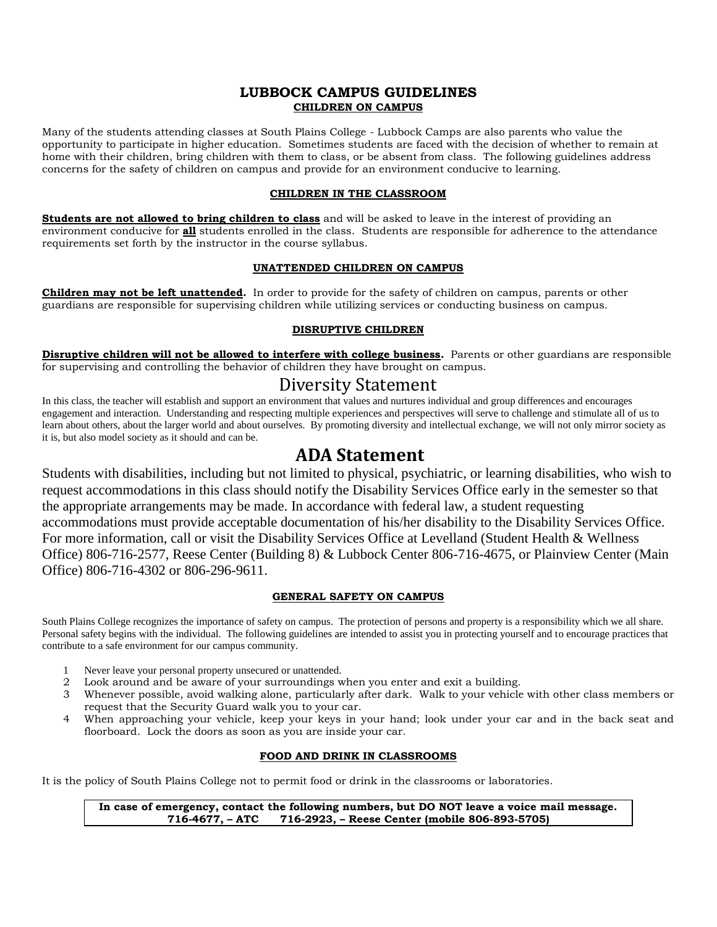#### **LUBBOCK CAMPUS GUIDELINES CHILDREN ON CAMPUS**

Many of the students attending classes at South Plains College - Lubbock Camps are also parents who value the opportunity to participate in higher education. Sometimes students are faced with the decision of whether to remain at home with their children, bring children with them to class, or be absent from class. The following guidelines address concerns for the safety of children on campus and provide for an environment conducive to learning.

#### **CHILDREN IN THE CLASSROOM**

**Students are not allowed to bring children to class** and will be asked to leave in the interest of providing an environment conducive for **all** students enrolled in the class. Students are responsible for adherence to the attendance requirements set forth by the instructor in the course syllabus.

#### **UNATTENDED CHILDREN ON CAMPUS**

**Children may not be left unattended.** In order to provide for the safety of children on campus, parents or other guardians are responsible for supervising children while utilizing services or conducting business on campus.

#### **DISRUPTIVE CHILDREN**

**Disruptive children will not be allowed to interfere with college business.** Parents or other guardians are responsible for supervising and controlling the behavior of children they have brought on campus.

# Diversity Statement

In this class, the teacher will establish and support an environment that values and nurtures individual and group differences and encourages engagement and interaction. Understanding and respecting multiple experiences and perspectives will serve to challenge and stimulate all of us to learn about others, about the larger world and about ourselves. By promoting diversity and intellectual exchange, we will not only mirror society as it is, but also model society as it should and can be.

# **ADA Statement**

Students with disabilities, including but not limited to physical, psychiatric, or learning disabilities, who wish to request accommodations in this class should notify the Disability Services Office early in the semester so that the appropriate arrangements may be made. In accordance with federal law, a student requesting accommodations must provide acceptable documentation of his/her disability to the Disability Services Office. For more information, call or visit the Disability Services Office at Levelland (Student Health & Wellness Office) 806-716-2577, Reese Center (Building 8) & Lubbock Center 806-716-4675, or Plainview Center (Main Office) 806-716-4302 or 806-296-9611.

#### **GENERAL SAFETY ON CAMPUS**

South Plains College recognizes the importance of safety on campus. The protection of persons and property is a responsibility which we all share. Personal safety begins with the individual. The following guidelines are intended to assist you in protecting yourself and to encourage practices that contribute to a safe environment for our campus community.

- 1 Never leave your personal property unsecured or unattended.
- 2 Look around and be aware of your surroundings when you enter and exit a building.
- 3 Whenever possible, avoid walking alone, particularly after dark. Walk to your vehicle with other class members or request that the Security Guard walk you to your car.
- 4 When approaching your vehicle, keep your keys in your hand; look under your car and in the back seat and floorboard. Lock the doors as soon as you are inside your car.

#### **FOOD AND DRINK IN CLASSROOMS**

It is the policy of South Plains College not to permit food or drink in the classrooms or laboratories.

**In case of emergency, contact the following numbers, but DO NOT leave a voice mail message. 716-4677, – ATC 716-2923, – Reese Center (mobile 806-893-5705)**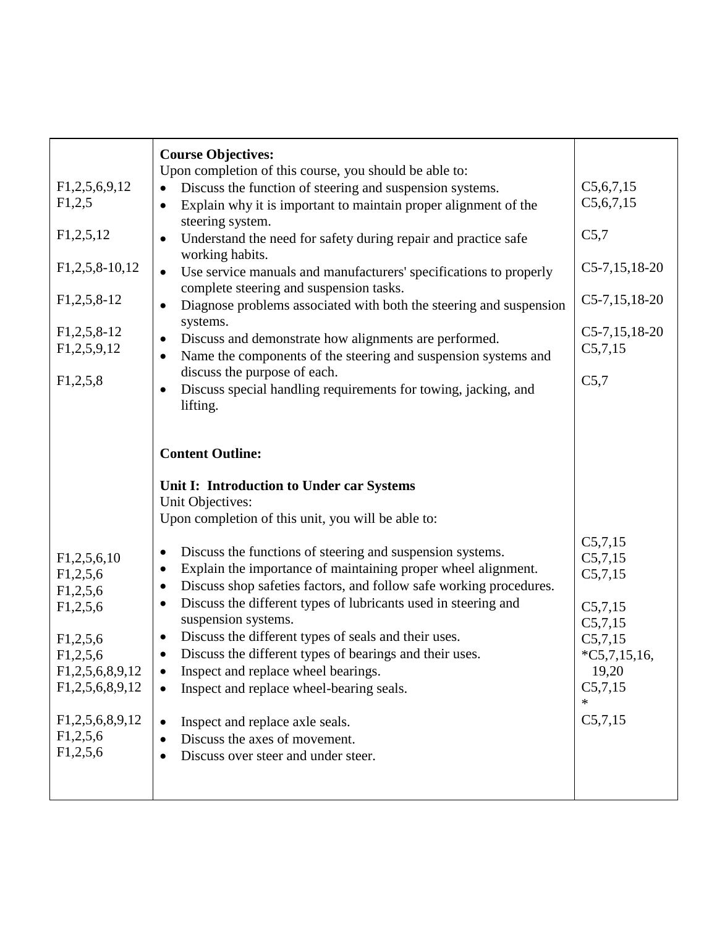| F1,2,5,6,9,12<br>F1,2,5<br>F1,2,5,12<br>$F1,2,5,8-10,12$<br>$F1,2,5,8-12$<br>$F1,2,5,8-12$<br>F1,2,5,9,12<br>F1,2,5,8                                    | <b>Course Objectives:</b><br>Upon completion of this course, you should be able to:<br>Discuss the function of steering and suspension systems.<br>Explain why it is important to maintain proper alignment of the<br>$\bullet$<br>steering system.<br>Understand the need for safety during repair and practice safe<br>working habits.<br>Use service manuals and manufacturers' specifications to properly<br>$\bullet$<br>complete steering and suspension tasks.<br>Diagnose problems associated with both the steering and suspension<br>$\bullet$<br>systems.<br>Discuss and demonstrate how alignments are performed.<br>$\bullet$<br>Name the components of the steering and suspension systems and<br>discuss the purpose of each.<br>Discuss special handling requirements for towing, jacking, and<br>lifting. | C5, 6, 7, 15<br>C5, 6, 7, 15<br>C5,7<br>$C5-7, 15, 18-20$<br>$C5-7, 15, 18-20$<br>$C5-7,15,18-20$<br>C5,7,15<br>C5,7      |
|----------------------------------------------------------------------------------------------------------------------------------------------------------|----------------------------------------------------------------------------------------------------------------------------------------------------------------------------------------------------------------------------------------------------------------------------------------------------------------------------------------------------------------------------------------------------------------------------------------------------------------------------------------------------------------------------------------------------------------------------------------------------------------------------------------------------------------------------------------------------------------------------------------------------------------------------------------------------------------------------|---------------------------------------------------------------------------------------------------------------------------|
| F1,2,5,6,10<br>F1,2,5,6<br>F1,2,5,6<br>F1,2,5,6<br>F1,2,5,6<br>F1,2,5,6<br>F1,2,5,6,8,9,12<br>F1,2,5,6,8,9,12<br>F1,2,5,6,8,9,12<br>F1,2,5,6<br>F1,2,5,6 | <b>Content Outline:</b><br>Unit I: Introduction to Under car Systems<br>Unit Objectives:<br>Upon completion of this unit, you will be able to:<br>Discuss the functions of steering and suspension systems.<br>$\bullet$<br>Explain the importance of maintaining proper wheel alignment.<br>٠<br>Discuss shop safeties factors, and follow safe working procedures.<br>٠<br>Discuss the different types of lubricants used in steering and<br>٠<br>suspension systems.<br>Discuss the different types of seals and their uses.<br>$\bullet$<br>Discuss the different types of bearings and their uses.<br>٠<br>Inspect and replace wheel bearings.<br>Inspect and replace wheel-bearing seals.<br>Inspect and replace axle seals.<br>$\bullet$<br>Discuss the axes of movement.<br>Discuss over steer and under steer.    | C5,7,15<br>C5,7,15<br>C5,7,15<br>C5,7,15<br>C5,7,15<br>C5,7,15<br>$*C5,7,15,16,$<br>19,20<br>C5,7,15<br>$\ast$<br>C5,7,15 |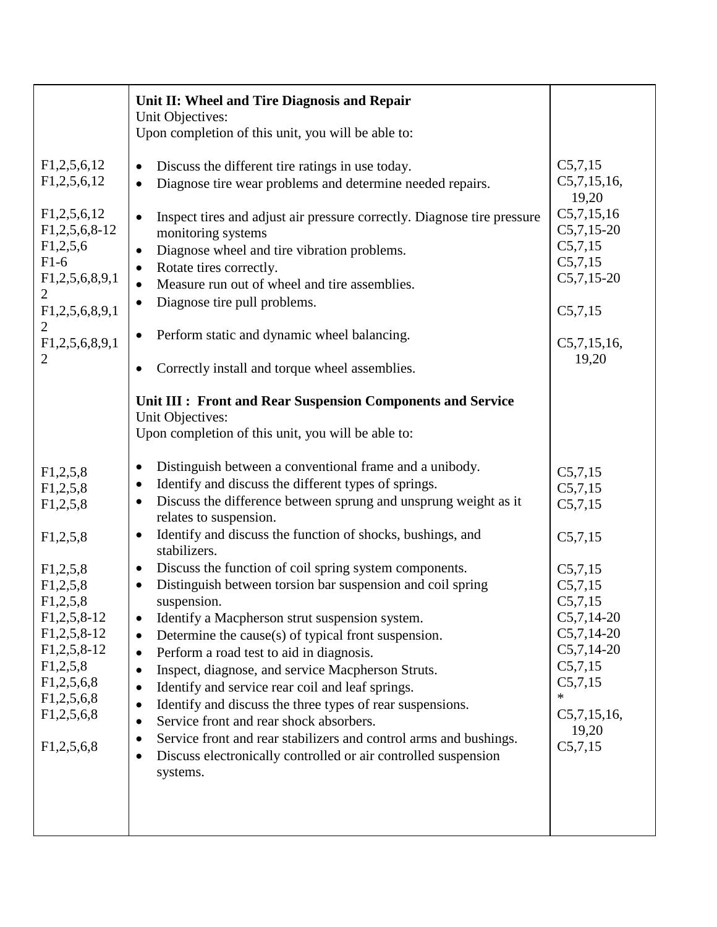|                                                                                                                                                                                                            | Unit II: Wheel and Tire Diagnosis and Repair<br>Unit Objectives:<br>Upon completion of this unit, you will be able to:                                                                                                                                                                                                                                                                                                                                                                                                                                                                                                                                                                                                                                                                                                                                                                                                                                                                                                                                                                                                                                                                                                |                                                                                                                                                                                              |
|------------------------------------------------------------------------------------------------------------------------------------------------------------------------------------------------------------|-----------------------------------------------------------------------------------------------------------------------------------------------------------------------------------------------------------------------------------------------------------------------------------------------------------------------------------------------------------------------------------------------------------------------------------------------------------------------------------------------------------------------------------------------------------------------------------------------------------------------------------------------------------------------------------------------------------------------------------------------------------------------------------------------------------------------------------------------------------------------------------------------------------------------------------------------------------------------------------------------------------------------------------------------------------------------------------------------------------------------------------------------------------------------------------------------------------------------|----------------------------------------------------------------------------------------------------------------------------------------------------------------------------------------------|
| F1,2,5,6,12<br>F1,2,5,6,12<br>F1,2,5,6,12<br>$F1,2,5,6,8-12$<br>F1,2,5,6<br>$F1-6$<br>F1,2,5,6,8,9,1<br>$\overline{2}$<br>F1,2,5,6,8,9,1<br>$\overline{2}$<br>F1,2,5,6,8,9,1<br>$\overline{2}$             | Discuss the different tire ratings in use today.<br>$\bullet$<br>Diagnose tire wear problems and determine needed repairs.<br>$\bullet$<br>Inspect tires and adjust air pressure correctly. Diagnose tire pressure<br>$\bullet$<br>monitoring systems<br>Diagnose wheel and tire vibration problems.<br>$\bullet$<br>Rotate tires correctly.<br>$\bullet$<br>Measure run out of wheel and tire assemblies.<br>$\bullet$<br>Diagnose tire pull problems.<br>٠<br>Perform static and dynamic wheel balancing.<br>$\bullet$<br>Correctly install and torque wheel assemblies.<br>$\bullet$                                                                                                                                                                                                                                                                                                                                                                                                                                                                                                                                                                                                                               | C5,7,15<br>C5,7,15,16,<br>19,20<br>C5,7,15,16<br>$C5,7,15-20$<br>C5,7,15<br>C5,7,15<br>$C5,7,15-20$<br>C5,7,15<br>C5,7,15,16,<br>19,20                                                       |
| F1,2,5,8<br>F1,2,5,8<br>F1,2,5,8<br>F1,2,5,8<br>F1,2,5,8<br>F1,2,5,8<br>F1,2,5,8<br>$F1,2,5,8-12$<br>$F1, 2, 5, 8-12$<br>$F1,2,5,8-12$<br>F1,2,5,8<br>F1,2,5,6,8<br>F1,2,5,6,8<br>F1,2,5,6,8<br>F1,2,5,6,8 | Unit III : Front and Rear Suspension Components and Service<br>Unit Objectives:<br>Upon completion of this unit, you will be able to:<br>Distinguish between a conventional frame and a unibody.<br>$\bullet$<br>Identify and discuss the different types of springs.<br>٠<br>Discuss the difference between sprung and unsprung weight as it<br>٠<br>relates to suspension.<br>Identify and discuss the function of shocks, bushings, and<br>٠<br>stabilizers.<br>Discuss the function of coil spring system components.<br>$\bullet$<br>Distinguish between torsion bar suspension and coil spring<br>$\bullet$<br>suspension.<br>Identify a Macpherson strut suspension system.<br>٠<br>Determine the cause( $s$ ) of typical front suspension.<br>$\bullet$<br>Perform a road test to aid in diagnosis.<br>٠<br>Inspect, diagnose, and service Macpherson Struts.<br>٠<br>Identify and service rear coil and leaf springs.<br>٠<br>Identify and discuss the three types of rear suspensions.<br>$\bullet$<br>Service front and rear shock absorbers.<br>٠<br>Service front and rear stabilizers and control arms and bushings.<br>Discuss electronically controlled or air controlled suspension<br>٠<br>systems. | C5,7,15<br>C5,7,15<br>C5,7,15<br>C5,7,15<br>C5,7,15<br>C5,7,15<br>C5,7,15<br>$C5,7,14-20$<br>$C5,7,14-20$<br>$C5,7,14-20$<br>C5,7,15<br>C5,7,15<br>$\ast$<br>C5,7,15,16,<br>19,20<br>C5,7,15 |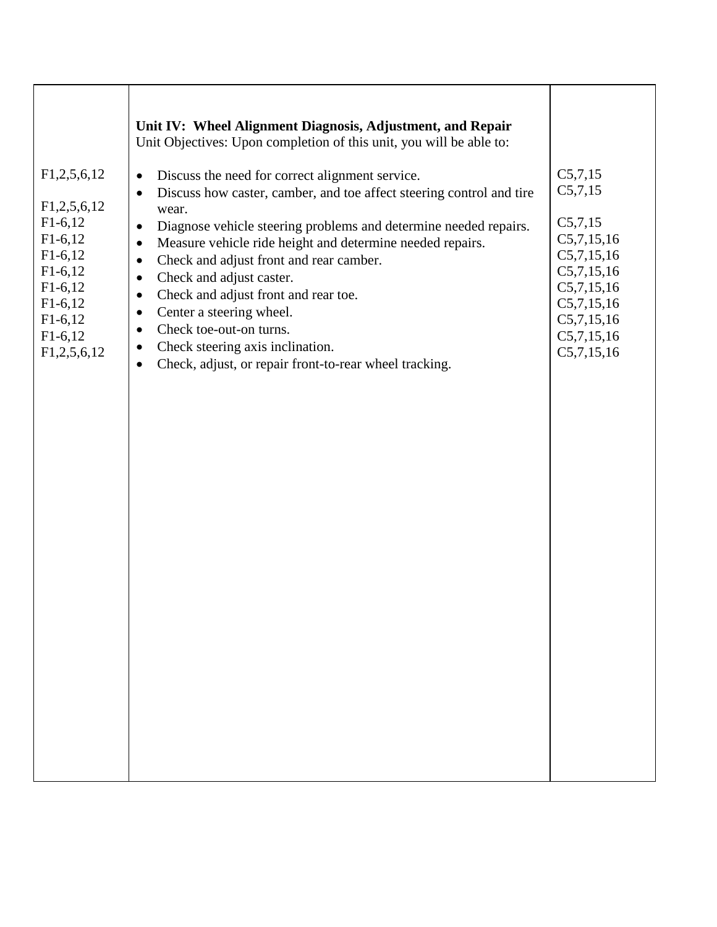|                                                                                                                                                   | Unit IV: Wheel Alignment Diagnosis, Adjustment, and Repair<br>Unit Objectives: Upon completion of this unit, you will be able to:                                                                                                                                                                                                                                                                                                                                                                                                                                                                           |                                                                                                                                               |
|---------------------------------------------------------------------------------------------------------------------------------------------------|-------------------------------------------------------------------------------------------------------------------------------------------------------------------------------------------------------------------------------------------------------------------------------------------------------------------------------------------------------------------------------------------------------------------------------------------------------------------------------------------------------------------------------------------------------------------------------------------------------------|-----------------------------------------------------------------------------------------------------------------------------------------------|
| F1,2,5,6,12<br>F1,2,5,6,12<br>$F1-6,12$<br>$F1-6,12$<br>$F1-6,12$<br>$F1-6,12$<br>$F1-6,12$<br>$F1-6,12$<br>$F1-6,12$<br>$F1-6,12$<br>F1,2,5,6,12 | Discuss the need for correct alignment service.<br>$\bullet$<br>Discuss how caster, camber, and toe affect steering control and tire<br>$\bullet$<br>wear.<br>Diagnose vehicle steering problems and determine needed repairs.<br>$\bullet$<br>Measure vehicle ride height and determine needed repairs.<br>$\bullet$<br>Check and adjust front and rear camber.<br>Check and adjust caster.<br>Check and adjust front and rear toe.<br>Center a steering wheel.<br>Check toe-out-on turns.<br>Check steering axis inclination.<br>٠<br>Check, adjust, or repair front-to-rear wheel tracking.<br>$\bullet$ | C5,7,15<br>C5,7,15<br>C5,7,15<br>C5,7,15,16<br>C5,7,15,16<br>C5,7,15,16<br>C5,7,15,16<br>C5,7,15,16<br>C5,7,15,16<br>C5,7,15,16<br>C5,7,15,16 |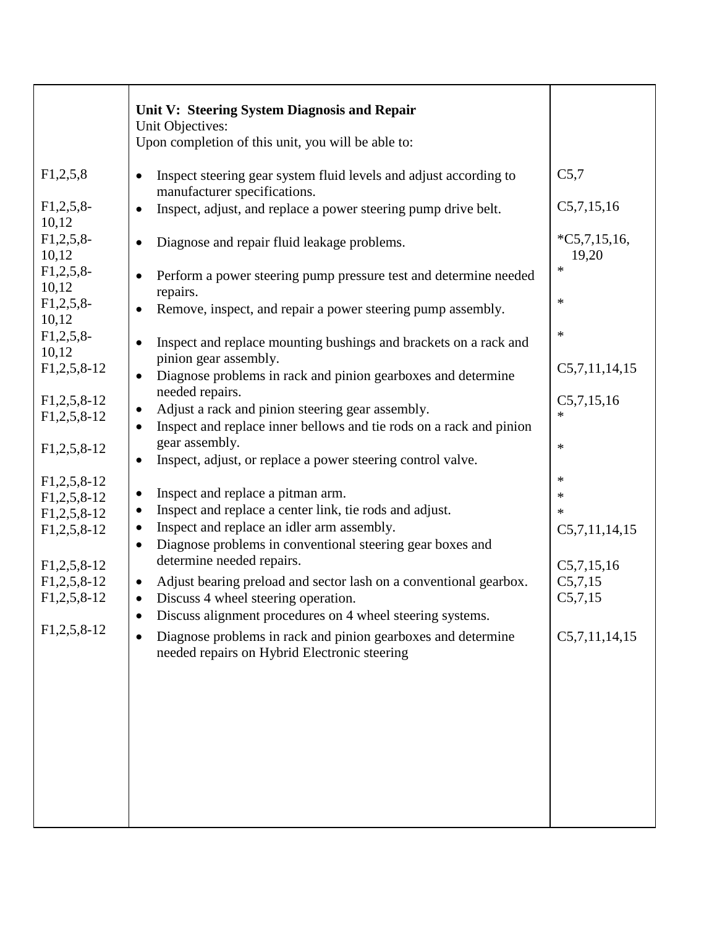|                                                       | Unit V: Steering System Diagnosis and Repair<br>Unit Objectives:<br>Upon completion of this unit, you will be able to:                                                                          |                                  |
|-------------------------------------------------------|-------------------------------------------------------------------------------------------------------------------------------------------------------------------------------------------------|----------------------------------|
| F1,2,5,8                                              | Inspect steering gear system fluid levels and adjust according to<br>$\bullet$<br>manufacturer specifications.                                                                                  | C5,7                             |
| $F1,2,5,8$ -<br>10,12                                 | Inspect, adjust, and replace a power steering pump drive belt.<br>$\bullet$                                                                                                                     | C5,7,15,16                       |
| $F1,2,5,8$ -<br>10,12                                 | Diagnose and repair fluid leakage problems.                                                                                                                                                     | $*C5,7,15,16,$<br>19,20          |
| $F1,2,5,8$ -<br>10,12                                 | Perform a power steering pump pressure test and determine needed<br>repairs.                                                                                                                    | $\ast$                           |
| $F1,2,5,8$ -<br>10,12                                 | Remove, inspect, and repair a power steering pump assembly.                                                                                                                                     | $\ast$                           |
| $F1,2,5,8$ -<br>10,12                                 | Inspect and replace mounting bushings and brackets on a rack and<br>$\bullet$<br>pinion gear assembly.                                                                                          | $\ast$                           |
| $F1, 2, 5, 8-12$                                      | Diagnose problems in rack and pinion gearboxes and determine<br>$\bullet$<br>needed repairs.                                                                                                    | C5,7,11,14,15                    |
| $F1,2,5,8-12$<br>$F1, 2, 5, 8-12$                     | Adjust a rack and pinion steering gear assembly.<br>٠<br>Inspect and replace inner bellows and tie rods on a rack and pinion<br>$\bullet$                                                       | C5,7,15,16<br>$\ast$             |
| $F1, 2, 5, 8-12$                                      | gear assembly.<br>Inspect, adjust, or replace a power steering control valve.<br>$\bullet$                                                                                                      | $\ast$                           |
| $F1, 2, 5, 8-12$<br>$F1, 2, 5, 8-12$                  | Inspect and replace a pitman arm.<br>$\bullet$                                                                                                                                                  | $\ast$<br>$\ast$                 |
| $F1,2,5,8-12$<br>$F1,2,5,8-12$                        | Inspect and replace a center link, tie rods and adjust.<br>$\bullet$<br>Inspect and replace an idler arm assembly.<br>٠                                                                         | $\ast$<br>C5,7,11,14,15          |
|                                                       | Diagnose problems in conventional steering gear boxes and<br>$\bullet$<br>determine needed repairs.                                                                                             |                                  |
| $F1, 2, 5, 8-12$<br>$F1, 2, 5, 8-12$<br>$F1,2,5,8-12$ | Adjust bearing preload and sector lash on a conventional gearbox.<br>$\bullet$<br>Discuss 4 wheel steering operation.<br>$\bullet$<br>Discuss alignment procedures on 4 wheel steering systems. | C5,7,15,16<br>C5,7,15<br>C5,7,15 |
| $F1,2,5,8-12$                                         | Diagnose problems in rack and pinion gearboxes and determine<br>$\bullet$<br>needed repairs on Hybrid Electronic steering                                                                       | C5,7,11,14,15                    |
|                                                       |                                                                                                                                                                                                 |                                  |
|                                                       |                                                                                                                                                                                                 |                                  |
|                                                       |                                                                                                                                                                                                 |                                  |
|                                                       |                                                                                                                                                                                                 |                                  |
|                                                       |                                                                                                                                                                                                 |                                  |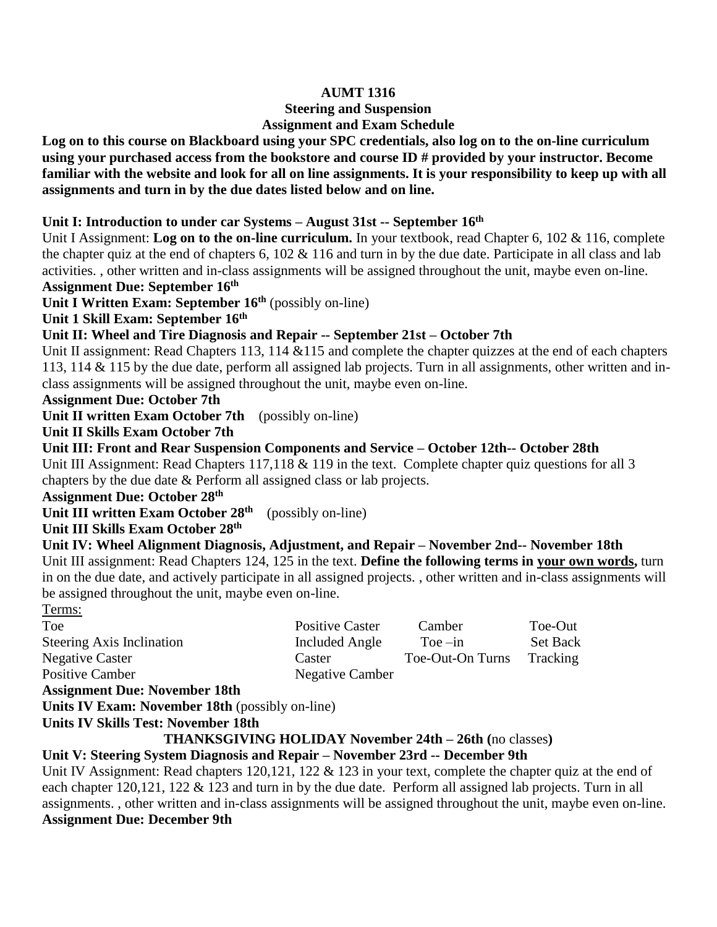## **AUMT 1316**

# **Steering and Suspension**

# **Assignment and Exam Schedule**

**Log on to this course on Blackboard using your SPC credentials, also log on to the on-line curriculum using your purchased access from the bookstore and course ID # provided by your instructor. Become familiar with the website and look for all on line assignments. It is your responsibility to keep up with all assignments and turn in by the due dates listed below and on line.**

### **Unit I: Introduction to under car Systems – August 31st -- September 16 th**

Unit I Assignment: **Log on to the on-line curriculum.** In your textbook, read Chapter 6, 102 & 116, complete the chapter quiz at the end of chapters 6,  $102 \& 116$  and turn in by the due date. Participate in all class and lab activities. , other written and in-class assignments will be assigned throughout the unit, maybe even on-line.

**Assignment Due: September 16 th**

**Unit I Written Exam: September 16 th** (possibly on-line)

**Unit 1 Skill Exam: September 16 th** 

### **Unit II: Wheel and Tire Diagnosis and Repair -- September 21st – October 7th**

Unit II assignment: Read Chapters 113, 114 & 115 and complete the chapter quizzes at the end of each chapters 113, 114 & 115 by the due date, perform all assigned lab projects. Turn in all assignments, other written and inclass assignments will be assigned throughout the unit, maybe even on-line.

#### **Assignment Due: October 7th**

**Unit II written Exam October 7th** (possibly on-line)

# **Unit II Skills Exam October 7th**

**Unit III: Front and Rear Suspension Components and Service – October 12th-- October 28th** Unit III Assignment: Read Chapters 117,118 & 119 in the text. Complete chapter quiz questions for all 3 chapters by the due date & Perform all assigned class or lab projects.

# **Assignment Due: October 28 th**

**Unit III written Exam October 28 th** (possibly on-line)

### Unit III Skills Exam October 28<sup>th</sup>

**Unit IV: Wheel Alignment Diagnosis, Adjustment, and Repair – November 2nd-- November 18th** Unit III assignment: Read Chapters 124, 125 in the text. **Define the following terms in your own words,** turn in on the due date, and actively participate in all assigned projects. , other written and in-class assignments will be assigned throughout the unit, maybe even on-line.

# Terms: Toe Positive Caster Camber Toe-Out Steering Axis Inclination Included Angle Toe –in Set Back Negative Caster Caster Toe-Out-On Turns Tracking Positive Camber Negative Camber

#### **Assignment Due: November 18th**

**Units IV Exam: November 18th** (possibly on-line)

#### **Units IV Skills Test: November 18th**

# **THANKSGIVING HOLIDAY November 24th – 26th (**no classes**)**

# **Unit V: Steering System Diagnosis and Repair – November 23rd -- December 9th**

Unit IV Assignment: Read chapters 120,121, 122 & 123 in your text, complete the chapter quiz at the end of each chapter 120,121, 122 & 123 and turn in by the due date. Perform all assigned lab projects. Turn in all assignments. , other written and in-class assignments will be assigned throughout the unit, maybe even on-line. **Assignment Due: December 9th**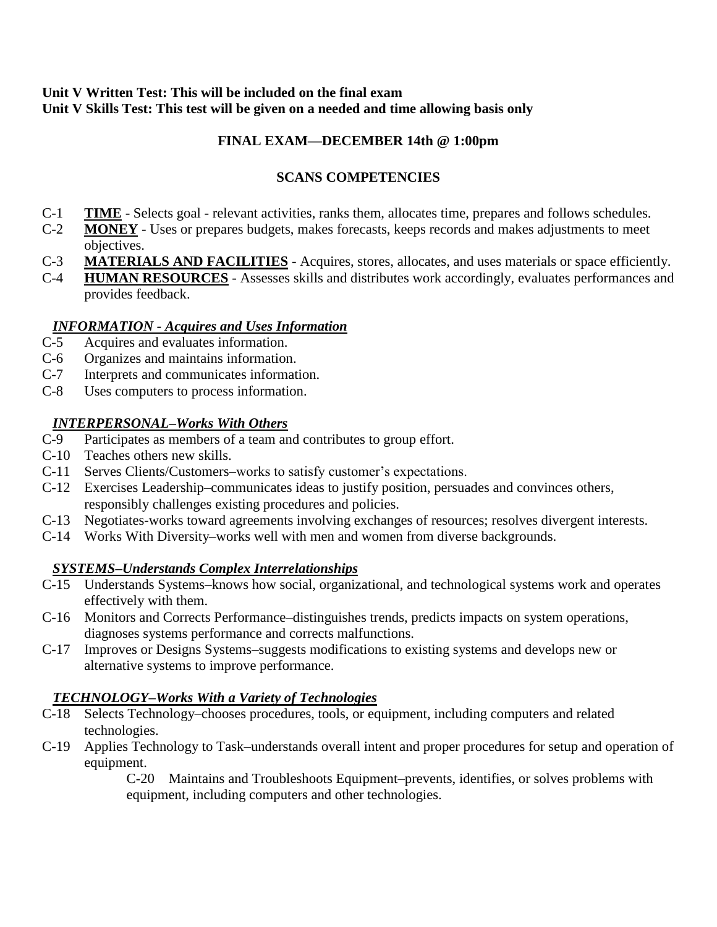## **Unit V Written Test: This will be included on the final exam Unit V Skills Test: This test will be given on a needed and time allowing basis only**

# **FINAL EXAM—DECEMBER 14th @ 1:00pm**

# **SCANS COMPETENCIES**

- C-1 **TIME** Selects goal relevant activities, ranks them, allocates time, prepares and follows schedules.
- C-2 **MONEY** Uses or prepares budgets, makes forecasts, keeps records and makes adjustments to meet objectives.
- C-3 **MATERIALS AND FACILITIES** Acquires, stores, allocates, and uses materials or space efficiently.
- C-4 **HUMAN RESOURCES** Assesses skills and distributes work accordingly, evaluates performances and provides feedback.

### *INFORMATION - Acquires and Uses Information*

- C-5 Acquires and evaluates information.
- C-6 Organizes and maintains information.
- C-7 Interprets and communicates information.
- C-8 Uses computers to process information.

# *INTERPERSONAL–Works With Others*

- C-9 Participates as members of a team and contributes to group effort.
- C-10 Teaches others new skills.
- C-11 Serves Clients/Customers–works to satisfy customer's expectations.
- C-12 Exercises Leadership–communicates ideas to justify position, persuades and convinces others, responsibly challenges existing procedures and policies.
- C-13 Negotiates-works toward agreements involving exchanges of resources; resolves divergent interests.
- C-14 Works With Diversity–works well with men and women from diverse backgrounds.

# *SYSTEMS–Understands Complex Interrelationships*

- C-15 Understands Systems–knows how social, organizational, and technological systems work and operates effectively with them.
- C-16 Monitors and Corrects Performance–distinguishes trends, predicts impacts on system operations, diagnoses systems performance and corrects malfunctions.
- C-17 Improves or Designs Systems–suggests modifications to existing systems and develops new or alternative systems to improve performance.

# *TECHNOLOGY–Works With a Variety of Technologies*

- C-18 Selects Technology–chooses procedures, tools, or equipment, including computers and related technologies.
- C-19 Applies Technology to Task–understands overall intent and proper procedures for setup and operation of equipment.

C-20 Maintains and Troubleshoots Equipment–prevents, identifies, or solves problems with equipment, including computers and other technologies.